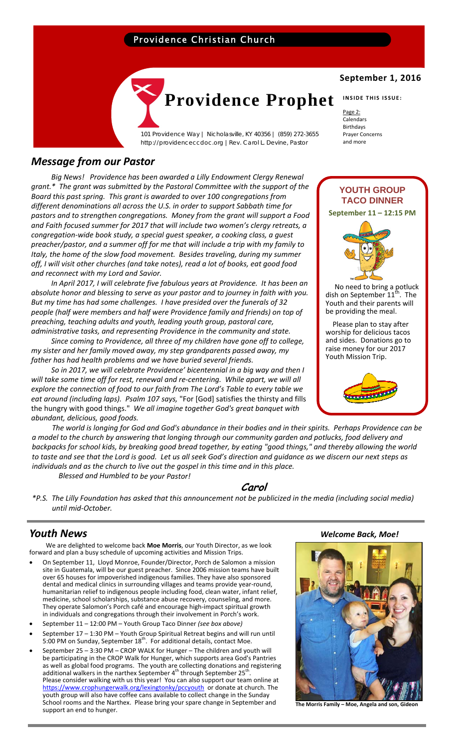## Providence Christian Church



101 Providence Way | Nicholasville, KY 40356 | (859) 272-3655 http://providenceccdoc.org |Rev. Carol L. Devine, Pastor

## *Message from our Pastor*

*Big News! Providence has been awarded a Lilly Endowment Clergy Renewal grant.\* The grant was submitted by the Pastoral Committee with the support of the Board this past spring. This grant is awarded to over 100 congregations from different denominations all across the U.S. in order to support Sabbath time for pastors and to strengthen congregations. Money from the grant will support a Food and Faith focused summer for 2017 that will include two women's clergy retreats, a congregation‐wide book study, a special guest speaker, a cooking class, a guest preacher/pastor, and a summer off for me that will include a trip with my family to Italy, the home of the slow food movement. Besides traveling, during my summer off, I will visit other churches (and take notes), read a lot of books, eat good food and reconnect with my Lord and Savior.* 

*In April 2017, I will celebrate five fabulous years at Providence. It has been an absolute honor and blessing to serve as your pastor and to journey in faith with you. But my time has had some challenges. I have presided over the funerals of 32 people (half were members and half were Providence family and friends) on top of preaching, teaching adults and youth, leading youth group, pastoral care, administrative tasks, and representing Providence in the community and state.* 

*Since coming to Providence, all three of my children have gone off to college, my sister and her family moved away, my step grandparents passed away, my father has had health problems and we have buried several friends.* 

*So in 2017, we will celebrate Providence' bicentennial in a big way and then I will take some time off for rest, renewal and re‐centering. While apart, we will all explore the connection of food to our faith from The Lord's Table to every table we eat around (including laps). Psalm 107 says,* "For [God] satisfies the thirsty and fills the hungry with good things." *We all imagine together God's great banquet with abundant, delicious, good foods.* 

The world is longing for God and God's abundance in their bodies and in their spirits. Perhaps Providence can be a model to the church by answering that longing through our community garden and potlucks, food delivery and backpacks for school kids, by breaking good bread together, by eating "good things," and thereby allowing the world to taste and see that the Lord is good. Let us all seek God's direction and guidance as we discern our next steps as *individuals and as the church to live out the gospel in this time and in this place. Blessed and Humbled to be your Pastor!*

**Carol** 

\*P.S. The Lilly Foundation has asked that this announcement not be publicized in the media (including social media) *until mid‐October.*

 We are delighted to welcome back **Moe Morris**, our Youth Director, as we look forward and plan a busy schedule of upcoming activities and Mission Trips.

- On September 11, Lloyd Monroe, Founder/Director, Porch de Salomon a mission site in Guatemala, will be our guest preacher. Since 2006 mission teams have built over 65 houses for impoverished indigenous families. They have also sponsored dental and medical clinics in surrounding villages and teams provide year‐round, humanitarian relief to indigenous people including food, clean water, infant relief, medicine, school scholarships, substance abuse recovery, counseling, and more. They operate Salomon's Porch café and encourage high‐impact spiritual growth in individuals and congregations through their involvement in Porch's work.
- September 11 12:00 PM Youth Group Taco Dinner *(see box above)*
- September 17 1:30 PM Youth Group Spiritual Retreat begins and will run until 5:00 PM on Sunday, September  $18^{th}$ . For additional details, contact Moe.
- September 25 3:30 PM CROP WALK for Hunger The children and youth will be participating in the CROP Walk for Hunger, which supports area God's Pantries as well as global food programs. The youth are collecting donations and registering additional walkers in the narthex September  $4^{th}$  through September 25<sup>th</sup>. Please consider walking with us this year! You can also support our team online at https://www.crophungerwalk.org/lexingtonky/pccyouth or donate at church. The https://www.crophungerwalk.org/lexingtonky/pccyouth or donate at church. The youth group will also have coffee cans available to collect change in the Sunday School rooms and the Narthex. Please bring your spare change in September and support an end to hunger. **The Morris Family – Moe, Angela and son, Gideon**

## **September 1, 2016**

**INSIDE THIS ISSUE:**

Page 2: Calendars Birthdays Prayer Concerns and more

# **YOUTH GROUP TACO DINNER September 11 – 12:15 PM**



 Please plan to stay after worship for delicious tacos and sides. Donations go to raise money for our 2017 Youth Mission Trip.